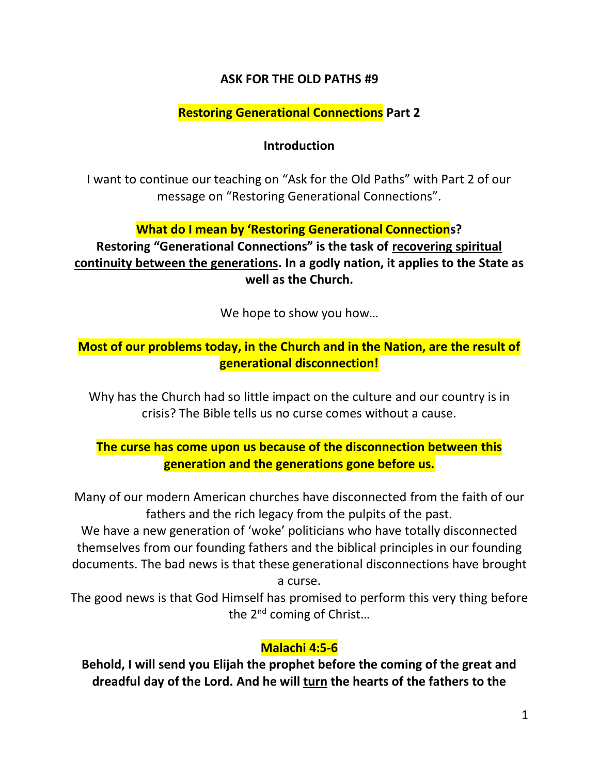### **ASK FOR THE OLD PATHS #9**

### **Restoring Generational Connections Part 2**

#### **Introduction**

I want to continue our teaching on "Ask for the Old Paths" with Part 2 of our message on "Restoring Generational Connections".

### **What do I mean by 'Restoring Generational Connections?**

**Restoring "Generational Connections" is the task of recovering spiritual continuity between the generations. In a godly nation, it applies to the State as well as the Church.**

We hope to show you how…

## **Most of our problems today, in the Church and in the Nation, are the result of generational disconnection!**

Why has the Church had so little impact on the culture and our country is in crisis? The Bible tells us no curse comes without a cause.

## **The curse has come upon us because of the disconnection between this generation and the generations gone before us.**

Many of our modern American churches have disconnected from the faith of our fathers and the rich legacy from the pulpits of the past.

We have a new generation of 'woke' politicians who have totally disconnected themselves from our founding fathers and the biblical principles in our founding documents. The bad news is that these generational disconnections have brought

a curse.

The good news is that God Himself has promised to perform this very thing before the 2<sup>nd</sup> coming of Christ...

## **Malachi 4:5-6**

**Behold, I will send you Elijah the prophet before the coming of the great and dreadful day of the Lord. And he will turn the hearts of the fathers to the**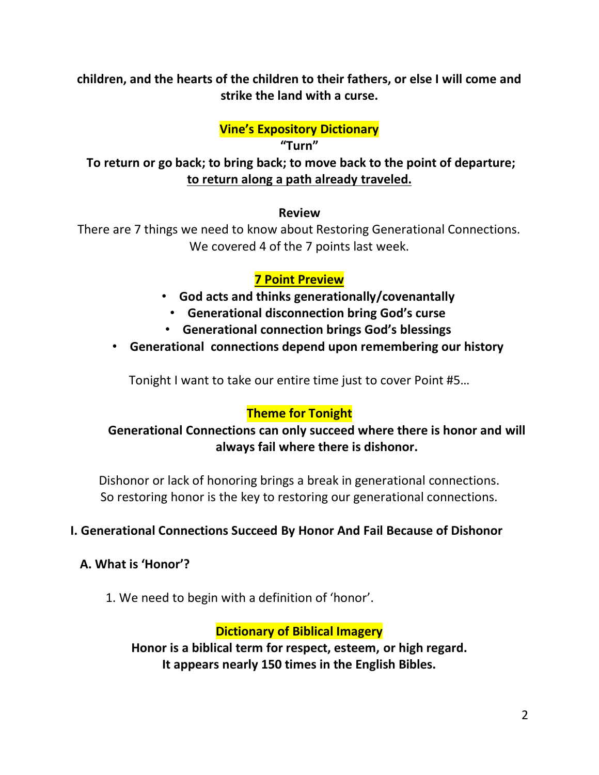**children, and the hearts of the children to their fathers, or else I will come and strike the land with a curse.**

#### **Vine's Expository Dictionary**

**"Turn" To return or go back; to bring back; to move back to the point of departure; to return along a path already traveled.**

#### **Review**

There are 7 things we need to know about Restoring Generational Connections. We covered 4 of the 7 points last week.

### **7 Point Preview**

- **God acts and thinks generationally/covenantally**
	- **Generational disconnection bring God's curse**
- **Generational connection brings God's blessings**
- **Generational connections depend upon remembering our history**

Tonight I want to take our entire time just to cover Point #5…

### **Theme for Tonight**

### **Generational Connections can only succeed where there is honor and will always fail where there is dishonor.**

Dishonor or lack of honoring brings a break in generational connections. So restoring honor is the key to restoring our generational connections.

### **I. Generational Connections Succeed By Honor And Fail Because of Dishonor**

### **A. What is 'Honor'?**

1. We need to begin with a definition of 'honor'.

### **Dictionary of Biblical Imagery**

**Honor is a biblical term for respect, esteem, or high regard. It appears nearly 150 times in the English Bibles.**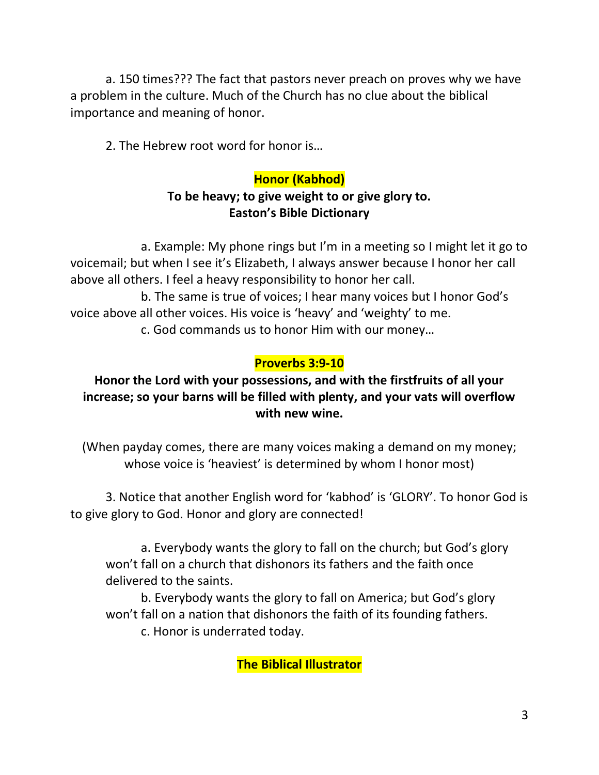a. 150 times??? The fact that pastors never preach on proves why we have a problem in the culture. Much of the Church has no clue about the biblical importance and meaning of honor.

2. The Hebrew root word for honor is…

# **Honor (Kabhod)**

# **To be heavy; to give weight to or give glory to. Easton's Bible Dictionary**

a. Example: My phone rings but I'm in a meeting so I might let it go to voicemail; but when I see it's Elizabeth, I always answer because I honor her call above all others. I feel a heavy responsibility to honor her call.

b. The same is true of voices; I hear many voices but I honor God's voice above all other voices. His voice is 'heavy' and 'weighty' to me.

c. God commands us to honor Him with our money…

# **Proverbs 3:9-10**

## **Honor the Lord with your possessions, and with the firstfruits of all your increase; so your barns will be filled with plenty, and your vats will overflow with new wine.**

(When payday comes, there are many voices making a demand on my money; whose voice is 'heaviest' is determined by whom I honor most)

3. Notice that another English word for 'kabhod' is 'GLORY'. To honor God is to give glory to God. Honor and glory are connected!

a. Everybody wants the glory to fall on the church; but God's glory won't fall on a church that dishonors its fathers and the faith once delivered to the saints.

b. Everybody wants the glory to fall on America; but God's glory won't fall on a nation that dishonors the faith of its founding fathers. c. Honor is underrated today.

**The Biblical Illustrator**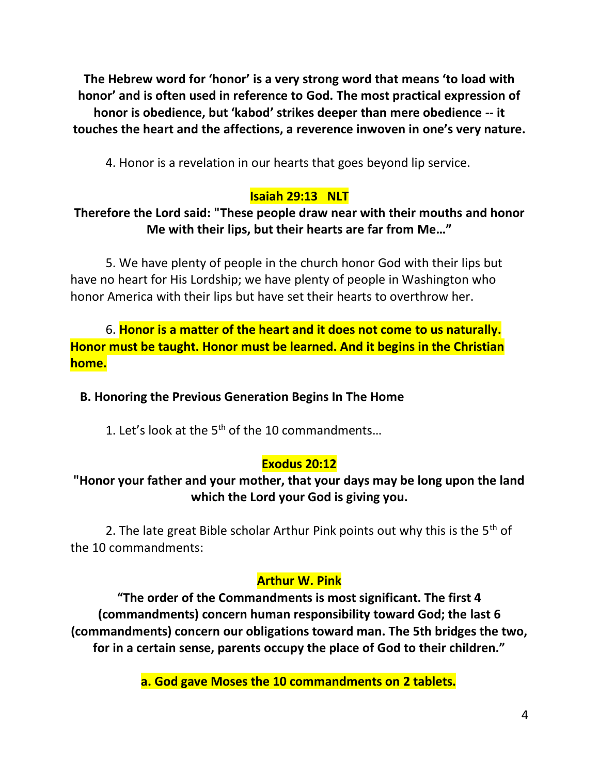**The Hebrew word for 'honor' is a very strong word that means 'to load with honor' and is often used in reference to God. The most practical expression of honor is obedience, but 'kabod' strikes deeper than mere obedience -- it touches the heart and the affections, a reverence inwoven in one's very nature.**

4. Honor is a revelation in our hearts that goes beyond lip service.

## **Isaiah 29:13 NLT**

## **Therefore the Lord said: "These people draw near with their mouths and honor Me with their lips, but their hearts are far from Me…"**

5. We have plenty of people in the church honor God with their lips but have no heart for His Lordship; we have plenty of people in Washington who honor America with their lips but have set their hearts to overthrow her.

6. **Honor is a matter of the heart and it does not come to us naturally. Honor must be taught. Honor must be learned. And it begins in the Christian home.**

 **B. Honoring the Previous Generation Begins In The Home**

1. Let's look at the  $5<sup>th</sup>$  of the 10 commandments...

## **Exodus 20:12**

## **"Honor your father and your mother, that your days may be long upon the land which the Lord your God is giving you.**

2. The late great Bible scholar Arthur Pink points out why this is the  $5<sup>th</sup>$  of the 10 commandments:

### **Arthur W. Pink**

**"The order of the Commandments is most significant. The first 4 (commandments) concern human responsibility toward God; the last 6 (commandments) concern our obligations toward man. The 5th bridges the two, for in a certain sense, parents occupy the place of God to their children."**

**a. God gave Moses the 10 commandments on 2 tablets.**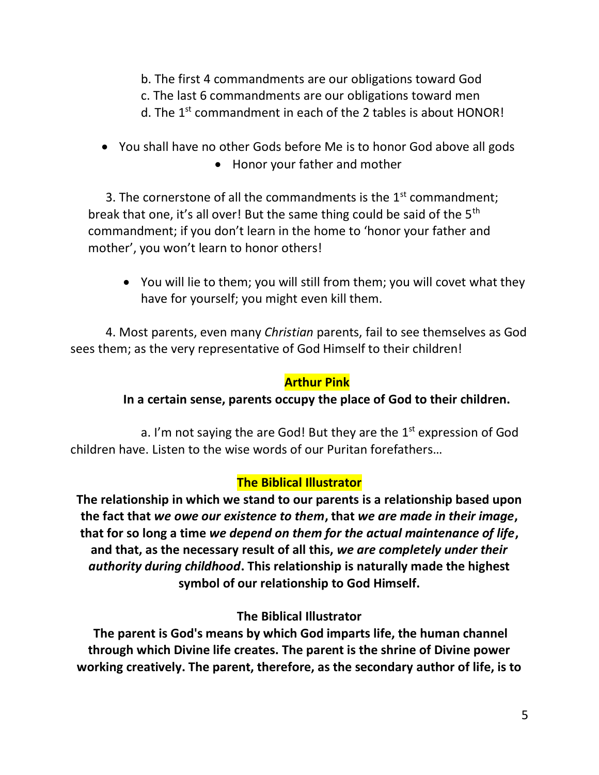- b. The first 4 commandments are our obligations toward God
- c. The last 6 commandments are our obligations toward men
- d. The 1<sup>st</sup> commandment in each of the 2 tables is about HONOR!
- You shall have no other Gods before Me is to honor God above all gods • Honor your father and mother

3. The cornerstone of all the commandments is the  $1<sup>st</sup>$  commandment; break that one, it's all over! But the same thing could be said of the 5<sup>th</sup> commandment; if you don't learn in the home to 'honor your father and mother', you won't learn to honor others!

• You will lie to them; you will still from them; you will covet what they have for yourself; you might even kill them.

4. Most parents, even many *Christian* parents, fail to see themselves as God sees them; as the very representative of God Himself to their children!

### **Arthur Pink**

## **In a certain sense, parents occupy the place of God to their children.**

a. I'm not saying the are God! But they are the  $1<sup>st</sup>$  expression of God children have. Listen to the wise words of our Puritan forefathers…

### **The Biblical Illustrator**

**The relationship in which we stand to our parents is a relationship based upon the fact that** *we owe our existence to them***, that** *we are made in their image***, that for so long a time** *we depend on them for the actual maintenance of life***, and that, as the necessary result of all this,** *we are completely under their authority during childhood***. This relationship is naturally made the highest symbol of our relationship to God Himself.**

## **The Biblical Illustrator**

**The parent is God's means by which God imparts life, the human channel through which Divine life creates. The parent is the shrine of Divine power working creatively. The parent, therefore, as the secondary author of life, is to**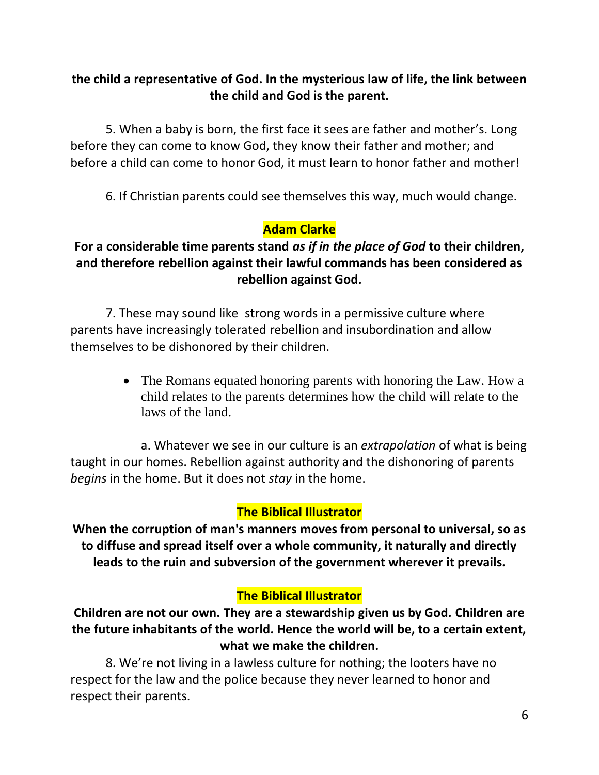## **the child a representative of God. In the mysterious law of life, the link between the child and God is the parent.**

5. When a baby is born, the first face it sees are father and mother's. Long before they can come to know God, they know their father and mother; and before a child can come to honor God, it must learn to honor father and mother!

6. If Christian parents could see themselves this way, much would change.

## **Adam Clarke**

### **For a considerable time parents stand** *as if in the place of God* **to their children, and therefore rebellion against their lawful commands has been considered as rebellion against God.**

7. These may sound like strong words in a permissive culture where parents have increasingly tolerated rebellion and insubordination and allow themselves to be dishonored by their children.

> • The Romans equated honoring parents with honoring the Law. How a child relates to the parents determines how the child will relate to the laws of the land.

a. Whatever we see in our culture is an *extrapolation* of what is being taught in our homes. Rebellion against authority and the dishonoring of parents *begins* in the home. But it does not *stay* in the home.

### **The Biblical Illustrator**

**When the corruption of man's manners moves from personal to universal, so as to diffuse and spread itself over a whole community, it naturally and directly leads to the ruin and subversion of the government wherever it prevails.**

### **The Biblical Illustrator**

**Children are not our own. They are a stewardship given us by God. Children are the future inhabitants of the world. Hence the world will be, to a certain extent, what we make the children.**

8. We're not living in a lawless culture for nothing; the looters have no respect for the law and the police because they never learned to honor and respect their parents.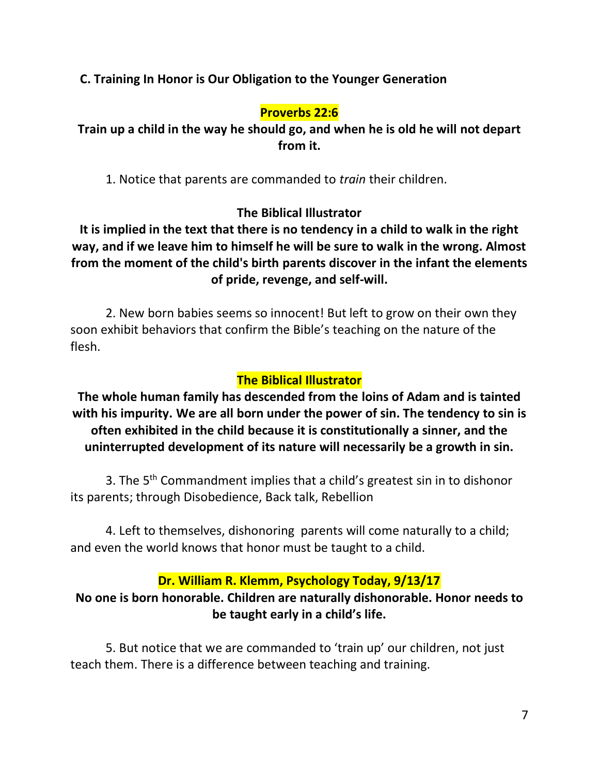### **C. Training In Honor is Our Obligation to the Younger Generation**

#### **Proverbs 22:6**

**Train up a child in the way he should go, and when he is old he will not depart from it.**

1. Notice that parents are commanded to *train* their children.

### **The Biblical Illustrator**

**It is implied in the text that there is no tendency in a child to walk in the right way, and if we leave him to himself he will be sure to walk in the wrong. Almost from the moment of the child's birth parents discover in the infant the elements of pride, revenge, and self-will.**

2. New born babies seems so innocent! But left to grow on their own they soon exhibit behaviors that confirm the Bible's teaching on the nature of the flesh.

#### **The Biblical Illustrator**

**The whole human family has descended from the loins of Adam and is tainted with his impurity. We are all born under the power of sin. The tendency to sin is often exhibited in the child because it is constitutionally a sinner, and the uninterrupted development of its nature will necessarily be a growth in sin.**

3. The 5<sup>th</sup> Commandment implies that a child's greatest sin in to dishonor its parents; through Disobedience, Back talk, Rebellion

4. Left to themselves, dishonoring parents will come naturally to a child; and even the world knows that honor must be taught to a child.

#### **Dr. William R. Klemm, Psychology Today, 9/13/17**

### **No one is born honorable. Children are naturally dishonorable. Honor needs to be taught early in a child's life.**

5. But notice that we are commanded to 'train up' our children, not just teach them. There is a difference between teaching and training.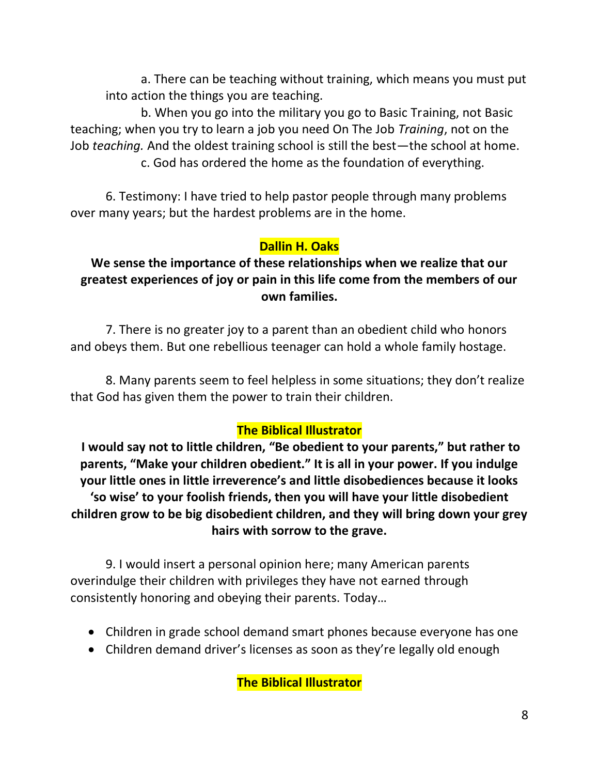a. There can be teaching without training, which means you must put into action the things you are teaching.

b. When you go into the military you go to Basic Training, not Basic teaching; when you try to learn a job you need On The Job *Training*, not on the Job *teaching.* And the oldest training school is still the best—the school at home. c. God has ordered the home as the foundation of everything.

6. Testimony: I have tried to help pastor people through many problems over many years; but the hardest problems are in the home.

# **Dallin H. Oaks**

## **We sense the importance of these relationships when we realize that our greatest experiences of joy or pain in this life come from the members of our own families.**

7. There is no greater joy to a parent than an obedient child who honors and obeys them. But one rebellious teenager can hold a whole family hostage.

8. Many parents seem to feel helpless in some situations; they don't realize that God has given them the power to train their children.

# **The Biblical Illustrator**

**I would say not to little children, "Be obedient to your parents," but rather to parents, "Make your children obedient." It is all in your power. If you indulge your little ones in little irreverence's and little disobediences because it looks 'so wise' to your foolish friends, then you will have your little disobedient children grow to be big disobedient children, and they will bring down your grey hairs with sorrow to the grave.**

9. I would insert a personal opinion here; many American parents overindulge their children with privileges they have not earned through consistently honoring and obeying their parents. Today…

- Children in grade school demand smart phones because everyone has one
- Children demand driver's licenses as soon as they're legally old enough

**The Biblical Illustrator**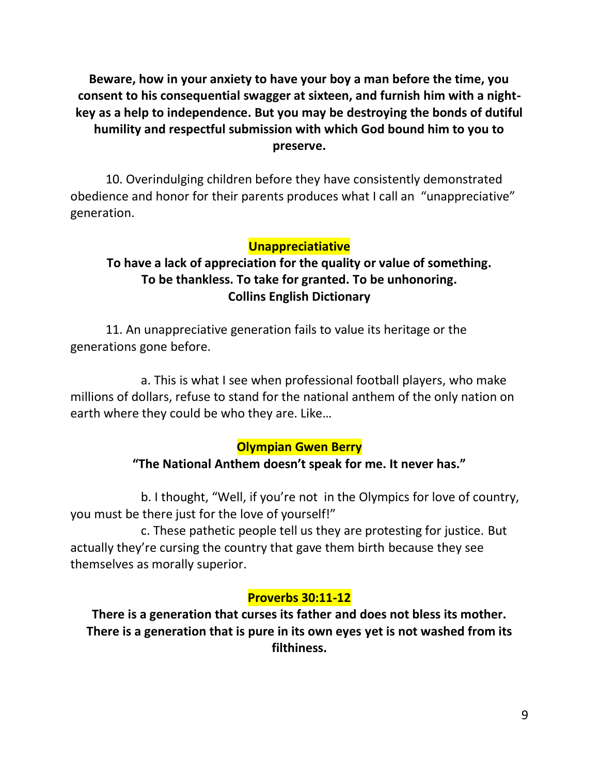**Beware, how in your anxiety to have your boy a man before the time, you consent to his consequential swagger at sixteen, and furnish him with a nightkey as a help to independence. But you may be destroying the bonds of dutiful humility and respectful submission with which God bound him to you to preserve.** 

10. Overindulging children before they have consistently demonstrated obedience and honor for their parents produces what I call an "unappreciative" generation.

### **Unappreciatiative**

## **To have a lack of appreciation for the quality or value of something. To be thankless. To take for granted. To be unhonoring. Collins English Dictionary**

11. An unappreciative generation fails to value its heritage or the generations gone before.

a. This is what I see when professional football players, who make millions of dollars, refuse to stand for the national anthem of the only nation on earth where they could be who they are. Like…

#### **Olympian Gwen Berry**

### **"The National Anthem doesn't speak for me. It never has."**

b. I thought, "Well, if you're not in the Olympics for love of country, you must be there just for the love of yourself!"

c. These pathetic people tell us they are protesting for justice. But actually they're cursing the country that gave them birth because they see themselves as morally superior.

### **Proverbs 30:11-12**

**There is a generation that curses its father and does not bless its mother. There is a generation that is pure in its own eyes yet is not washed from its filthiness.**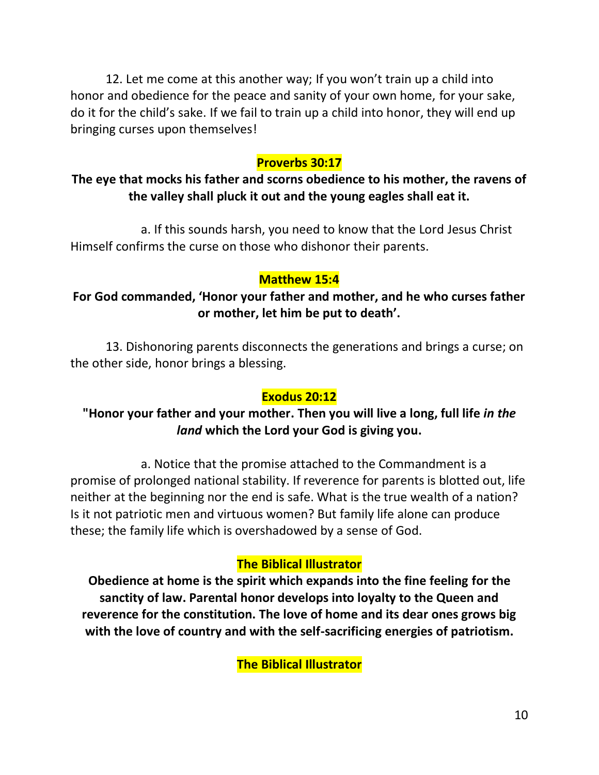12. Let me come at this another way; If you won't train up a child into honor and obedience for the peace and sanity of your own home, for your sake, do it for the child's sake. If we fail to train up a child into honor, they will end up bringing curses upon themselves!

### **Proverbs 30:17**

## **The eye that mocks his father and scorns obedience to his mother, the ravens of the valley shall pluck it out and the young eagles shall eat it.**

a. If this sounds harsh, you need to know that the Lord Jesus Christ Himself confirms the curse on those who dishonor their parents.

### **Matthew 15:4**

## **For God commanded, 'Honor your father and mother, and he who curses father or mother, let him be put to death'.**

13. Dishonoring parents disconnects the generations and brings a curse; on the other side, honor brings a blessing.

### **Exodus 20:12**

## **"Honor your father and your mother. Then you will live a long, full life** *in the land* **which the Lord your God is giving you.**

a. Notice that the promise attached to the Commandment is a promise of prolonged national stability. If reverence for parents is blotted out, life neither at the beginning nor the end is safe. What is the true wealth of a nation? Is it not patriotic men and virtuous women? But family life alone can produce these; the family life which is overshadowed by a sense of God.

### **The Biblical Illustrator**

**Obedience at home is the spirit which expands into the fine feeling for the sanctity of law. Parental honor develops into loyalty to the Queen and reverence for the constitution. The love of home and its dear ones grows big with the love of country and with the self-sacrificing energies of patriotism.**

**The Biblical Illustrator**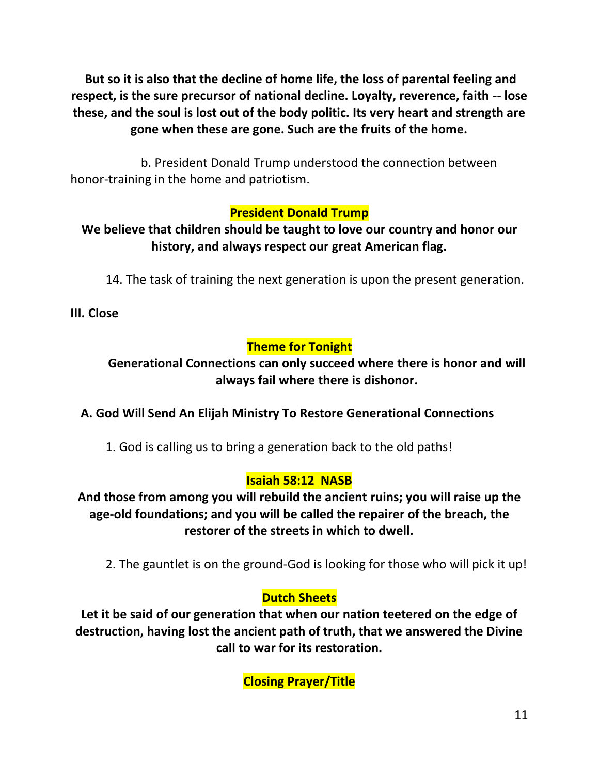**But so it is also that the decline of home life, the loss of parental feeling and respect, is the sure precursor of national decline. Loyalty, reverence, faith -- lose these, and the soul is lost out of the body politic. Its very heart and strength are gone when these are gone. Such are the fruits of the home.**

b. President Donald Trump understood the connection between honor-training in the home and patriotism.

## **President Donald Trump**

## **We believe that children should be taught to love our country and honor our history, and always respect our great American flag.**

14. The task of training the next generation is upon the present generation.

**III. Close**

# **Theme for Tonight**

## **Generational Connections can only succeed where there is honor and will always fail where there is dishonor.**

## **A. God Will Send An Elijah Ministry To Restore Generational Connections**

1. God is calling us to bring a generation back to the old paths!

### **Isaiah 58:12 NASB**

**And those from among you will rebuild the ancient ruins; you will raise up the age-old foundations; and you will be called the repairer of the breach, the restorer of the streets in which to dwell.** 

2. The gauntlet is on the ground-God is looking for those who will pick it up!

## **Dutch Sheets**

**Let it be said of our generation that when our nation teetered on the edge of destruction, having lost the ancient path of truth, that we answered the Divine call to war for its restoration.**

**Closing Prayer/Title**